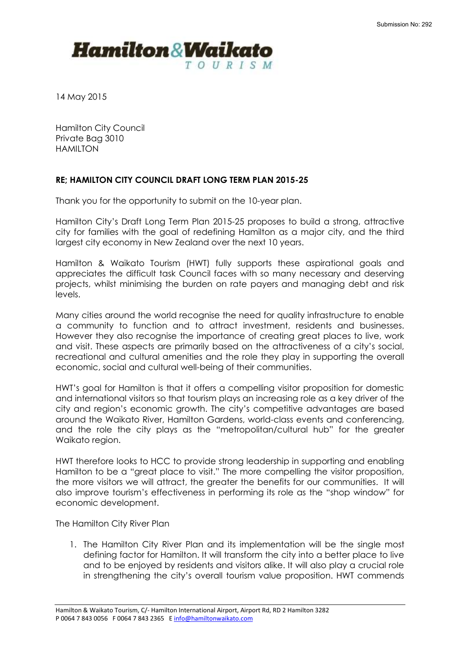

14 May 2015

Hamilton City Council Private Bag 3010 HAMILTON

# **RE; HAMILTON CITY COUNCIL DRAFT LONG TERM PLAN 2015-25**

Thank you for the opportunity to submit on the 10-year plan.

Hamilton City's Draft Long Term Plan 2015-25 proposes to build a strong, attractive city for families with the goal of redefining Hamilton as a major city, and the third largest city economy in New Zealand over the next 10 years.

Hamilton & Waikato Tourism (HWT) fully supports these aspirational goals and appreciates the difficult task Council faces with so many necessary and deserving projects, whilst minimising the burden on rate payers and managing debt and risk levels.

Many cities around the world recognise the need for quality infrastructure to enable a community to function and to attract investment, residents and businesses. However they also recognise the importance of creating great places to live, work and visit. These aspects are primarily based on the attractiveness of a city's social, recreational and cultural amenities and the role they play in supporting the overall economic, social and cultural well-being of their communities.

HWT's goal for Hamilton is that it offers a compelling visitor proposition for domestic and international visitors so that tourism plays an increasing role as a key driver of the city and region's economic growth. The city's competitive advantages are based around the Waikato River, Hamilton Gardens, world-class events and conferencing, and the role the city plays as the "metropolitan/cultural hub" for the greater Waikato region.

HWT therefore looks to HCC to provide strong leadership in supporting and enabling Hamilton to be a "great place to visit." The more compelling the visitor proposition, the more visitors we will attract, the greater the benefits for our communities. It will also improve tourism's effectiveness in performing its role as the "shop window" for economic development.

The Hamilton City River Plan

1. The Hamilton City River Plan and its implementation will be the single most defining factor for Hamilton. It will transform the city into a better place to live and to be enjoyed by residents and visitors alike. It will also play a crucial role in strengthening the city's overall tourism value proposition. HWT commends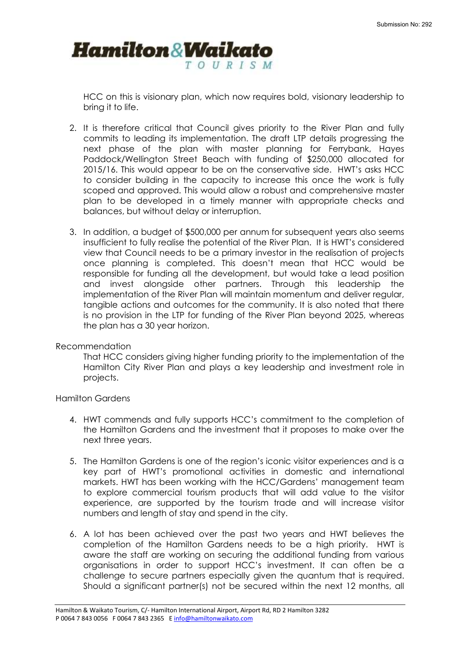

HCC on this is visionary plan, which now requires bold, visionary leadership to bring it to life.

- 2. It is therefore critical that Council gives priority to the River Plan and fully commits to leading its implementation. The draft LTP details progressing the next phase of the plan with master planning for Ferrybank, Hayes Paddock/Wellington Street Beach with funding of \$250,000 allocated for 2015/16. This would appear to be on the conservative side. HWT's asks HCC to consider building in the capacity to increase this once the work is fully scoped and approved. This would allow a robust and comprehensive master plan to be developed in a timely manner with appropriate checks and balances, but without delay or interruption.
- 3. In addition, a budget of \$500,000 per annum for subsequent years also seems insufficient to fully realise the potential of the River Plan. It is HWT's considered view that Council needs to be a primary investor in the realisation of projects once planning is completed. This doesn't mean that HCC would be responsible for funding all the development, but would take a lead position and invest alongside other partners. Through this leadership the implementation of the River Plan will maintain momentum and deliver regular, tangible actions and outcomes for the community. It is also noted that there is no provision in the LTP for funding of the River Plan beyond 2025, whereas the plan has a 30 year horizon.

# Recommendation

That HCC considers giving higher funding priority to the implementation of the Hamilton City River Plan and plays a key leadership and investment role in projects.

# Hamilton Gardens

- 4. HWT commends and fully supports HCC's commitment to the completion of the Hamilton Gardens and the investment that it proposes to make over the next three years.
- 5. The Hamilton Gardens is one of the region's iconic visitor experiences and is a key part of HWT's promotional activities in domestic and international markets. HWT has been working with the HCC/Gardens' management team to explore commercial tourism products that will add value to the visitor experience, are supported by the tourism trade and will increase visitor numbers and length of stay and spend in the city.
- 6. A lot has been achieved over the past two years and HWT believes the completion of the Hamilton Gardens needs to be a high priority. HWT is aware the staff are working on securing the additional funding from various organisations in order to support HCC's investment. It can often be a challenge to secure partners especially given the quantum that is required. Should a significant partner(s) not be secured within the next 12 months, all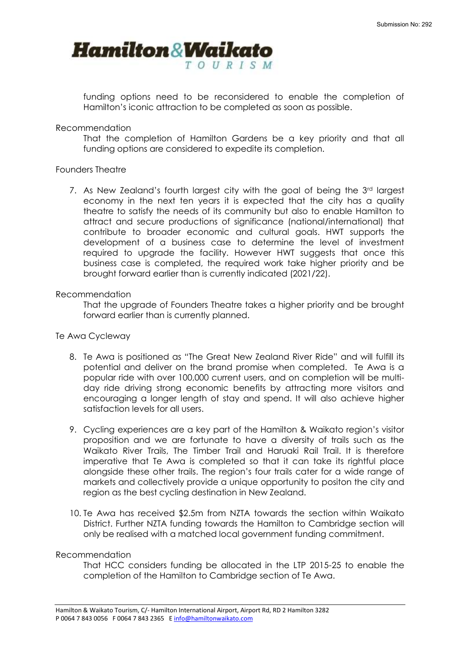

funding options need to be reconsidered to enable the completion of Hamilton's iconic attraction to be completed as soon as possible.

Recommendation

That the completion of Hamilton Gardens be a key priority and that all funding options are considered to expedite its completion.

#### Founders Theatre

7. As New Zealand's fourth largest city with the goal of being the 3<sup>rd</sup> largest economy in the next ten years it is expected that the city has a quality theatre to satisfy the needs of its community but also to enable Hamilton to attract and secure productions of significance (national/international) that contribute to broader economic and cultural goals. HWT supports the development of a business case to determine the level of investment required to upgrade the facility. However HWT suggests that once this business case is completed, the required work take higher priority and be brought forward earlier than is currently indicated (2021/22).

#### Recommendation

That the upgrade of Founders Theatre takes a higher priority and be brought forward earlier than is currently planned.

# Te Awa Cycleway

- 8. Te Awa is positioned as "The Great New Zealand River Ride" and will fulfill its potential and deliver on the brand promise when completed. Te Awa is a popular ride with over 100,000 current users, and on completion will be multiday ride driving strong economic benefits by attracting more visitors and encouraging a longer length of stay and spend. It will also achieve higher satisfaction levels for all users.
- 9. Cycling experiences are a key part of the Hamilton & Waikato region's visitor proposition and we are fortunate to have a diversity of trails such as the Waikato River Trails, The Timber Trail and Haruaki Rail Trail. It is therefore imperative that Te Awa is completed so that it can take its rightful place alongside these other trails. The region's four trails cater for a wide range of markets and collectively provide a unique opportunity to positon the city and region as the best cycling destination in New Zealand.
- 10. Te Awa has received \$2.5m from NZTA towards the section within Waikato District. Further NZTA funding towards the Hamilton to Cambridge section will only be realised with a matched local government funding commitment.

Recommendation

That HCC considers funding be allocated in the LTP 2015-25 to enable the completion of the Hamilton to Cambridge section of Te Awa.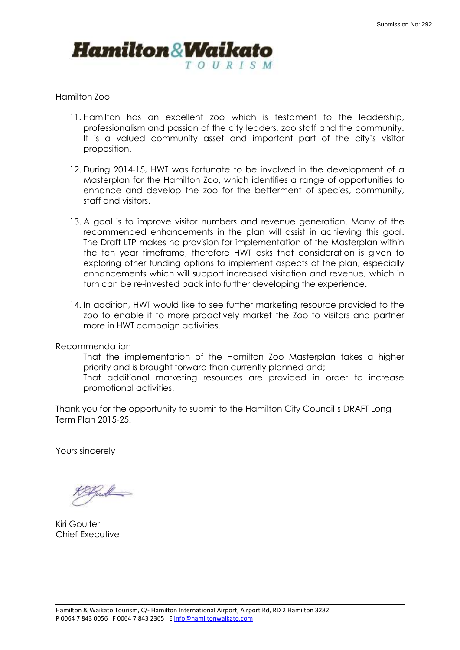# **Hamilton&Waikato** TOURISM

# Hamilton Zoo

- 11. Hamilton has an excellent zoo which is testament to the leadership, professionalism and passion of the city leaders, zoo staff and the community. It is a valued community asset and important part of the city's visitor proposition.
- 12. During 2014-15, HWT was fortunate to be involved in the development of a Masterplan for the Hamilton Zoo, which identifies a range of opportunities to enhance and develop the zoo for the betterment of species, community, staff and visitors.
- 13. A goal is to improve visitor numbers and revenue generation. Many of the recommended enhancements in the plan will assist in achieving this goal. The Draft LTP makes no provision for implementation of the Masterplan within the ten year timeframe, therefore HWT asks that consideration is given to exploring other funding options to implement aspects of the plan, especially enhancements which will support increased visitation and revenue, which in turn can be re-invested back into further developing the experience.
- 14. In addition, HWT would like to see further marketing resource provided to the zoo to enable it to more proactively market the Zoo to visitors and partner more in HWT campaign activities.

Recommendation

That the implementation of the Hamilton Zoo Masterplan takes a higher priority and is brought forward than currently planned and; That additional marketing resources are provided in order to increase

promotional activities.

Thank you for the opportunity to submit to the Hamilton City Council's DRAFT Long Term Plan 2015-25.

Yours sincerely

Kiri Goulter Chief Executive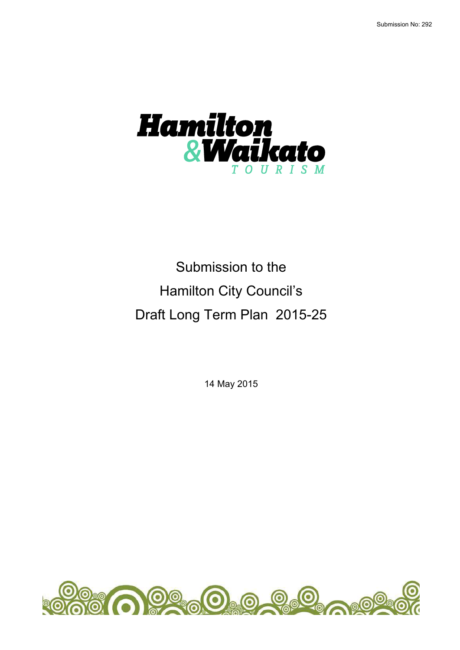

# Submission to the Hamilton City Council's Draft Long Term Plan 2015-25

14 May 2015

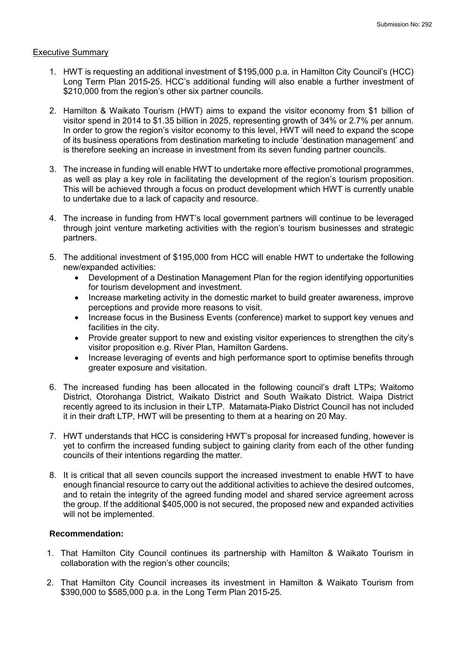## Executive Summary

- 1. HWT is requesting an additional investment of \$195,000 p.a. in Hamilton City Council's (HCC) Long Term Plan 2015-25. HCC's additional funding will also enable a further investment of \$210,000 from the region's other six partner councils.
- 2. Hamilton & Waikato Tourism (HWT) aims to expand the visitor economy from \$1 billion of visitor spend in 2014 to \$1.35 billion in 2025, representing growth of 34% or 2.7% per annum. In order to grow the region's visitor economy to this level, HWT will need to expand the scope of its business operations from destination marketing to include 'destination management' and is therefore seeking an increase in investment from its seven funding partner councils.
- 3. The increase in funding will enable HWT to undertake more effective promotional programmes, as well as play a key role in facilitating the development of the region's tourism proposition. This will be achieved through a focus on product development which HWT is currently unable to undertake due to a lack of capacity and resource.
- 4. The increase in funding from HWT's local government partners will continue to be leveraged through joint venture marketing activities with the region's tourism businesses and strategic partners.
- 5. The additional investment of \$195,000 from HCC will enable HWT to undertake the following new/expanded activities:
	- Development of a Destination Management Plan for the region identifying opportunities for tourism development and investment.
	- Increase marketing activity in the domestic market to build greater awareness, improve perceptions and provide more reasons to visit.
	- Increase focus in the Business Events (conference) market to support key venues and facilities in the city.
	- Provide greater support to new and existing visitor experiences to strengthen the city's visitor proposition e.g. River Plan, Hamilton Gardens.
	- Increase leveraging of events and high performance sport to optimise benefits through greater exposure and visitation.
- 6. The increased funding has been allocated in the following council's draft LTPs; Waitomo District, Otorohanga District, Waikato District and South Waikato District. Waipa District recently agreed to its inclusion in their LTP. Matamata-Piako District Council has not included it in their draft LTP, HWT will be presenting to them at a hearing on 20 May.
- 7. HWT understands that HCC is considering HWT's proposal for increased funding, however is yet to confirm the increased funding subject to gaining clarity from each of the other funding councils of their intentions regarding the matter.
- 8. It is critical that all seven councils support the increased investment to enable HWT to have enough financial resource to carry out the additional activities to achieve the desired outcomes, and to retain the integrity of the agreed funding model and shared service agreement across the group. If the additional \$405,000 is not secured, the proposed new and expanded activities will not be implemented.

# **Recommendation:**

- 1. That Hamilton City Council continues its partnership with Hamilton & Waikato Tourism in collaboration with the region's other councils;
- 2. That Hamilton City Council increases its investment in Hamilton & Waikato Tourism from \$390,000 to \$585,000 p.a. in the Long Term Plan 2015-25.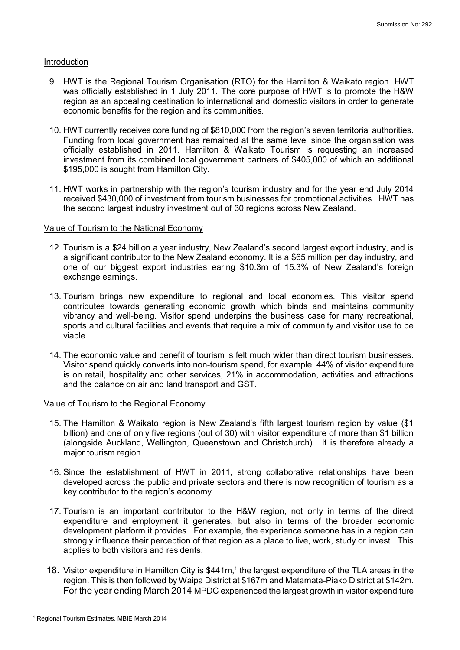# Introduction

- 9. HWT is the Regional Tourism Organisation (RTO) for the Hamilton & Waikato region. HWT was officially established in 1 July 2011. The core purpose of HWT is to promote the H&W region as an appealing destination to international and domestic visitors in order to generate economic benefits for the region and its communities.
- 10. HWT currently receives core funding of \$810,000 from the region's seven territorial authorities. Funding from local government has remained at the same level since the organisation was officially established in 2011. Hamilton & Waikato Tourism is requesting an increased investment from its combined local government partners of \$405,000 of which an additional \$195,000 is sought from Hamilton City.
- 11. HWT works in partnership with the region's tourism industry and for the year end July 2014 received \$430,000 of investment from tourism businesses for promotional activities. HWT has the second largest industry investment out of 30 regions across New Zealand.

# Value of Tourism to the National Economy

- 12. Tourism is a \$24 billion a year industry, New Zealand's second largest export industry, and is a significant contributor to the New Zealand economy. It is a \$65 million per day industry, and one of our biggest export industries earing \$10.3m of 15.3% of New Zealand's foreign exchange earnings.
- 13. Tourism brings new expenditure to regional and local economies. This visitor spend contributes towards generating economic growth which binds and maintains community vibrancy and well-being. Visitor spend underpins the business case for many recreational, sports and cultural facilities and events that require a mix of community and visitor use to be viable.
- 14. The economic value and benefit of tourism is felt much wider than direct tourism businesses. Visitor spend quickly converts into non-tourism spend, for example 44% of visitor expenditure is on retail, hospitality and other services, 21% in accommodation, activities and attractions and the balance on air and land transport and GST.

# Value of Tourism to the Regional Economy

- 15. The Hamilton & Waikato region is New Zealand's fifth largest tourism region by value (\$1 billion) and one of only five regions (out of 30) with visitor expenditure of more than \$1 billion (alongside Auckland, Wellington, Queenstown and Christchurch). It is therefore already a major tourism region.
- 16. Since the establishment of HWT in 2011, strong collaborative relationships have been developed across the public and private sectors and there is now recognition of tourism as a key contributor to the region's economy.
- 17. Tourism is an important contributor to the H&W region, not only in terms of the direct expenditure and employment it generates, but also in terms of the broader economic development platform it provides. For example, the experience someone has in a region can strongly influence their perception of that region as a place to live, work, study or invest. This applies to both visitors and residents.
- 18. Visitor expenditure in Hamilton City is \$441m,<sup>1</sup> the largest expenditure of the TLA areas in the region. This is then followed by Waipa District at \$167m and Matamata-Piako District at \$142m. For the year ending March 2014 MPDC experienced the largest growth in visitor expenditure

 $\overline{a}$ 

<sup>1</sup> Regional Tourism Estimates, MBIE March 2014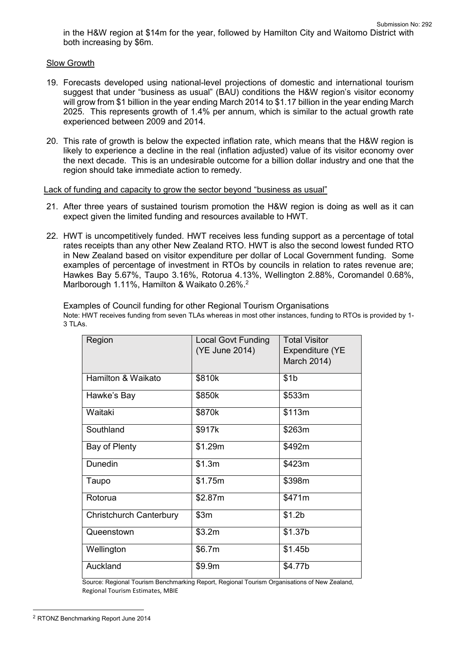# Slow Growth

- 19. Forecasts developed using national-level projections of domestic and international tourism suggest that under "business as usual" (BAU) conditions the H&W region's visitor economy will grow from \$1 billion in the year ending March 2014 to \$1.17 billion in the year ending March 2025. This represents growth of 1.4% per annum, which is similar to the actual growth rate experienced between 2009 and 2014.
- 20. This rate of growth is below the expected inflation rate, which means that the H&W region is likely to experience a decline in the real (inflation adjusted) value of its visitor economy over the next decade. This is an undesirable outcome for a billion dollar industry and one that the region should take immediate action to remedy.

# Lack of funding and capacity to grow the sector beyond "business as usual"

- 21. After three years of sustained tourism promotion the H&W region is doing as well as it can expect given the limited funding and resources available to HWT.
- 22. HWT is uncompetitively funded. HWT receives less funding support as a percentage of total rates receipts than any other New Zealand RTO. HWT is also the second lowest funded RTO in New Zealand based on visitor expenditure per dollar of Local Government funding. Some examples of percentage of investment in RTOs by councils in relation to rates revenue are; Hawkes Bay 5.67%, Taupo 3.16%, Rotorua 4.13%, Wellington 2.88%, Coromandel 0.68%, Marlborough 1.11%, Hamilton & Waikato 0.26%.<sup>2</sup>

Examples of Council funding for other Regional Tourism Organisations

Note: HWT receives funding from seven TLAs whereas in most other instances, funding to RTOs is provided by 1- 3 TLAs.

| Region                         | <b>Local Govt Funding</b><br>(YE June 2014) | <b>Total Visitor</b><br>Expenditure (YE<br>March 2014) |  |
|--------------------------------|---------------------------------------------|--------------------------------------------------------|--|
| Hamilton & Waikato             | \$810k                                      | \$1b                                                   |  |
| Hawke's Bay                    | \$850k                                      | \$533m                                                 |  |
| Waitaki                        | \$870k                                      | \$113m                                                 |  |
| Southland                      | \$917k                                      | \$263m                                                 |  |
| Bay of Plenty                  | \$1.29m                                     | \$492m                                                 |  |
| Dunedin                        | \$1.3m                                      | \$423m                                                 |  |
| Taupo                          | \$1.75m                                     | \$398m                                                 |  |
| Rotorua                        | \$2.87m                                     | \$471m                                                 |  |
| <b>Christchurch Canterbury</b> | \$3m                                        | \$1.2 <sub>b</sub>                                     |  |
| Queenstown                     | \$3.2m                                      | \$1.37b                                                |  |
| Wellington                     | \$6.7m                                      | \$1.45b                                                |  |
| Auckland                       | \$9.9m                                      | \$4.77b                                                |  |

Source: Regional Tourism Benchmarking Report, Regional Tourism Organisations of New Zealand, Regional Tourism Estimates, MBIE

 $\overline{a}$ 

<sup>2</sup> RTONZ Benchmarking Report June 2014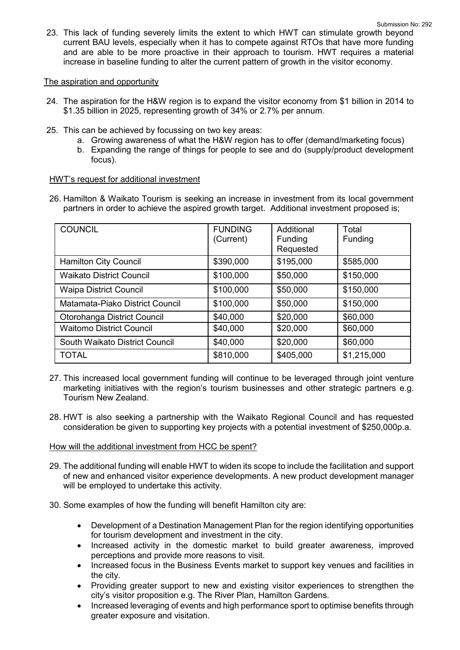23. This lack of funding severely limits the extent to which HWT can stimulate growth beyond current BAU levels, especially when it has to compete against RTOs that have more funding and are able to be more proactive in their approach to tourism. HWT requires a material increase in baseline funding to alter the current pattern of growth in the visitor economy.

# The aspiration and opportunity

- 24. The aspiration for the H&W region is to expand the visitor economy from \$1 billion in 2014 to \$1.35 billion in 2025, representing growth of 34% or 2.7% per annum.
- 25. This can be achieved by focussing on two key areas:
	- a. Growing awareness of what the H&W region has to offer (demand/marketing focus)
	- b. Expanding the range of things for people to see and do (supply/product development focus).

# HWT's request for additional investment

26. Hamilton & Waikato Tourism is seeking an increase in investment from its local government partners in order to achieve the aspired growth target. Additional investment proposed is:

| <b>COUNCIL</b>                  | <b>FUNDING</b><br>(Current) | Additional<br>Funding<br>Requested | Total<br>Funding |
|---------------------------------|-----------------------------|------------------------------------|------------------|
| <b>Hamilton City Council</b>    | \$390,000                   | \$195,000                          | \$585,000        |
| <b>Waikato District Council</b> | \$100,000                   | \$50,000                           | \$150,000        |
| <b>Waipa District Council</b>   | \$100,000                   | \$50,000                           | \$150,000        |
| Matamata-Piako District Council | \$100,000                   | \$50,000                           | \$150,000        |
| Otorohanga District Council     | \$40,000                    | \$20,000                           | \$60,000         |
| <b>Waitomo District Council</b> | \$40,000                    | \$20,000                           | \$60,000         |
| South Waikato District Council  | \$40,000                    | \$20,000                           | \$60,000         |
| <b>TOTAL</b>                    | \$810,000                   | \$405,000                          | \$1,215,000      |

- 27. This increased local government funding will continue to be leveraged through joint venture marketing initiatives with the region's tourism businesses and other strategic partners e.g. Tourism New Zealand.
- 28. HWT is also seeking a partnership with the Waikato Regional Council and has requested consideration be given to supporting key projects with a potential investment of \$250,000p.a.

# How will the additional investment from HCC be spent?

- 29. The additional funding will enable HWT to widen its scope to include the facilitation and support of new and enhanced visitor experience developments. A new product development manager will be employed to undertake this activity.
- 30. Some examples of how the funding will benefit Hamilton city are:
	- Development of a Destination Management Plan for the region identifying opportunities for tourism development and investment in the city.
	- Increased activity in the domestic market to build greater awareness, improved perceptions and provide more reasons to visit.
	- Increased focus in the Business Events market to support key venues and facilities in the city.
	- Providing greater support to new and existing visitor experiences to strengthen the city's visitor proposition e.g. The River Plan, Hamilton Gardens.
	- Increased leveraging of events and high performance sport to optimise benefits through greater exposure and visitation.